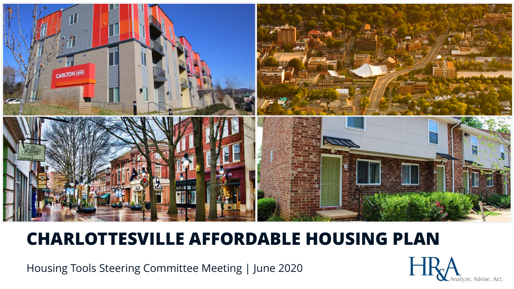

# **CHARLOTTESVILLE AFFORDABLE HOUSING PLAN**

Housing Tools Steering Committee Meeting | June 2020

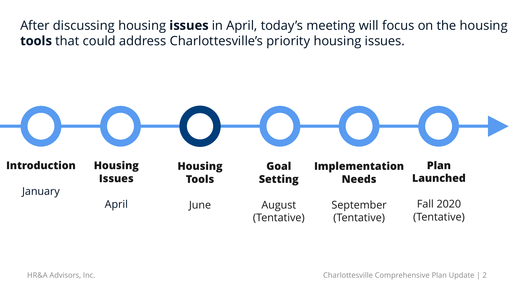After discussing housing **issues** in April, today's meeting will focus on the housing **tools** that could address Charlottesville's priority housing issues.

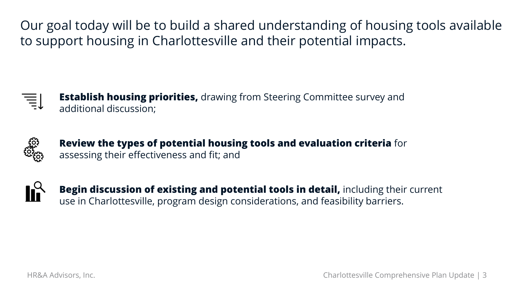Our goal today will be to build a shared understanding of housing tools available to support housing in Charlottesville and their potential impacts.

**Establish housing priorities,** drawing from Steering Committee survey and additional discussion;



**Review the types of potential housing tools and evaluation criteria** for assessing their effectiveness and fit; and



**Begin discussion of existing and potential tools in detail, including their current** use in Charlottesville, program design considerations, and feasibility barriers.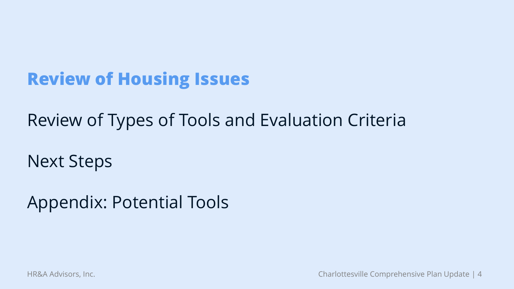# **Review of Housing Issues**

Review of Types of Tools and Evaluation Criteria

Next Steps

Appendix: Potential Tools

HR&A Advisors, Inc. Charlottesville Comprehensive Plan Update | 4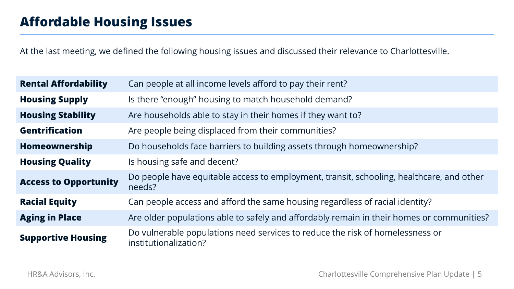At the last meeting, we defined the following housing issues and discussed their relevance to Charlottesville.

| <b>Rental Affordability</b>  | Can people at all income levels afford to pay their rent?                                              |  |
|------------------------------|--------------------------------------------------------------------------------------------------------|--|
| <b>Housing Supply</b>        | Is there "enough" housing to match household demand?                                                   |  |
| <b>Housing Stability</b>     | Are households able to stay in their homes if they want to?                                            |  |
| <b>Gentrification</b>        | Are people being displaced from their communities?                                                     |  |
| Homeownership                | Do households face barriers to building assets through homeownership?                                  |  |
| <b>Housing Quality</b>       | Is housing safe and decent?                                                                            |  |
| <b>Access to Opportunity</b> | Do people have equitable access to employment, transit, schooling, healthcare, and other<br>needs?     |  |
| <b>Racial Equity</b>         | Can people access and afford the same housing regardless of racial identity?                           |  |
| <b>Aging in Place</b>        | Are older populations able to safely and affordably remain in their homes or communities?              |  |
| <b>Supportive Housing</b>    | Do vulnerable populations need services to reduce the risk of homelessness or<br>institutionalization? |  |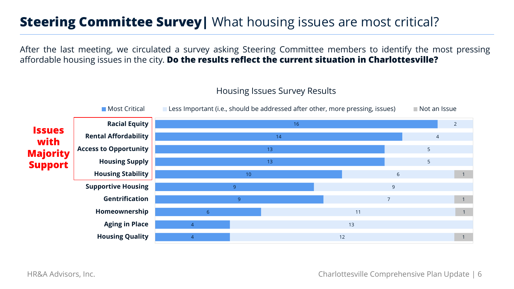### **Steering Committee Survey** What housing issues are most critical?

After the last meeting, we circulated a survey asking Steering Committee members to identify the most pressing affordable housing issues in the city. **Do the results reflect the current situation in Charlottesville?**

4 4 6 9 9 10 13 13 14 16 12 13 11 7 9 6 5 5 4 2 1 1 1 1 **Housing Quality Aging in Place Homeownership Gentrification Supportive Housing Housing Stability Housing Supply Access to Opportunity Rental Affordability Racial Equity**  $\blacksquare$  Most Critical  $\blacksquare$  Less Important (i.e., should be addressed after other, more pressing, issues)  $\blacksquare$  Not an Issue **Issues with Majority Support**

#### Housing Issues Survey Results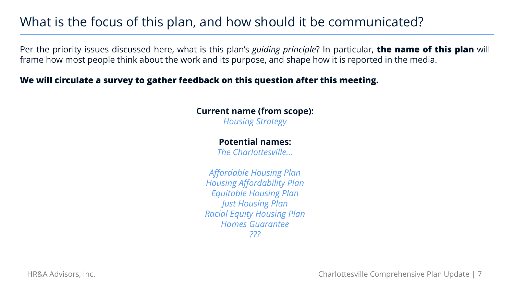### What is the focus of this plan, and how should it be communicated?

Per the priority issues discussed here, what is this plan's *guiding principle*? In particular, **the name of this plan** will frame how most people think about the work and its purpose, and shape how it is reported in the media.

### **We will circulate a survey to gather feedback on this question after this meeting.**

#### **Current name (from scope):** *Housing Strategy*

#### **Potential names:**

*The Charlottesville…*

*Affordable Housing Plan Housing Affordability Plan Equitable Housing Plan Just Housing Plan Racial Equity Housing Plan Homes Guarantee ???*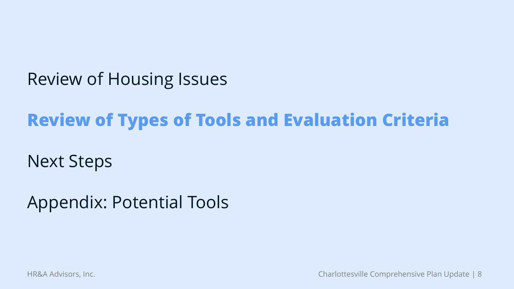Review of Housing Issues

# **Review of Types of Tools and Evaluation Criteria**

Next Steps

Appendix: Potential Tools

HR&A Advisors, Inc. Charlottesville Comprehensive Plan Update | 8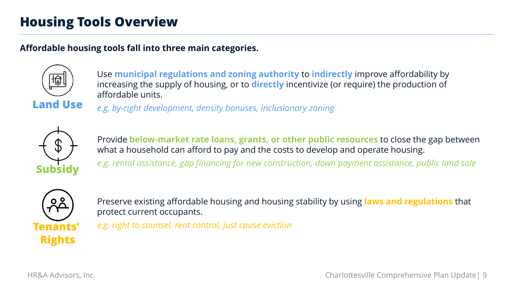### **Housing Tools Overview**

#### **Affordable housing tools fall into three main categories.**



Use **municipal regulations and zoning authority** to **indirectly** improve affordability by increasing the supply of housing, or to **directly** incentivize (or require) the production of affordable units.

**Land Use**

*e.g. by-right development, density bonuses, inclusionary zoning*



Provide **below-market rate loans, grants, or other public resources** to close the gap between what a household can afford to pay and the costs to develop and operate housing.

*e.g. rental assistance, gap financing for new construction, down payment assistance, public land sale*



Preserve existing affordable housing and housing stability by using **laws and regulations** that protect current occupants.

*e.g. right to counsel, rent control, just cause eviction*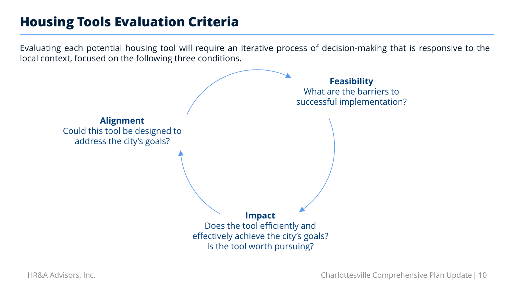### **Housing Tools Evaluation Criteria**

Evaluating each potential housing tool will require an iterative process of decision-making that is responsive to the local context, focused on the following three conditions.

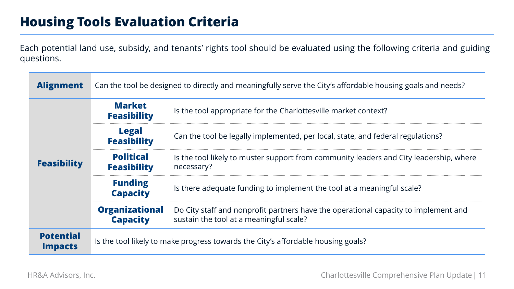### **Housing Tools Evaluation Criteria**

Each potential land use, subsidy, and tenants' rights tool should be evaluated using the following criteria and guiding questions.

| <b>Alignment</b>                   | Can the tool be designed to directly and meaningfully serve the City's affordable housing goals and needs? |                                                                                                                                |
|------------------------------------|------------------------------------------------------------------------------------------------------------|--------------------------------------------------------------------------------------------------------------------------------|
| <b>Feasibility</b>                 | <b>Market</b><br><b>Feasibility</b>                                                                        | Is the tool appropriate for the Charlottesville market context?                                                                |
|                                    | <b>Legal</b><br><b>Feasibility</b>                                                                         | Can the tool be legally implemented, per local, state, and federal regulations?                                                |
|                                    | <b>Political</b><br><b>Feasibility</b>                                                                     | Is the tool likely to muster support from community leaders and City leadership, where<br>necessary?                           |
|                                    | <b>Funding</b><br><b>Capacity</b>                                                                          | Is there adequate funding to implement the tool at a meaningful scale?                                                         |
|                                    | <b>Organizational</b><br><b>Capacity</b>                                                                   | Do City staff and nonprofit partners have the operational capacity to implement and<br>sustain the tool at a meaningful scale? |
| <b>Potential</b><br><b>Impacts</b> | Is the tool likely to make progress towards the City's affordable housing goals?                           |                                                                                                                                |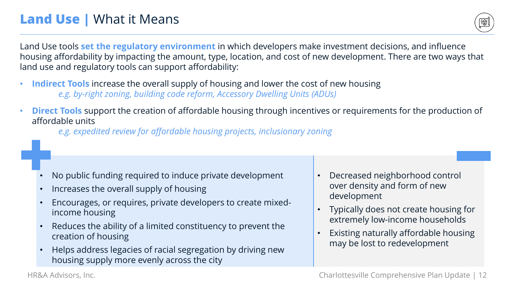## **Land Use | What it Means**



Land Use tools **set the regulatory environment** in which developers make investment decisions, and influence housing affordability by impacting the amount, type, location, and cost of new development. There are two ways that land use and regulatory tools can support affordability:

- **Indirect Tools** increase the overall supply of housing and lower the cost of new housing *e.g. by-right zoning, building code reform, Accessory Dwelling Units (ADUs)*
- **Direct Tools** support the creation of affordable housing through incentives or requirements for the production of affordable units

*e.g. expedited review for affordable housing projects, inclusionary zoning*

- No public funding required to induce private development
- Increases the overall supply of housing
- Encourages, or requires, private developers to create mixedincome housing
- Reduces the ability of a limited constituency to prevent the creation of housing
- Helps address legacies of racial segregation by driving new housing supply more evenly across the city
- Decreased neighborhood control over density and form of new development
- Typically does not create housing for extremely low-income households
- Existing naturally affordable housing may be lost to redevelopment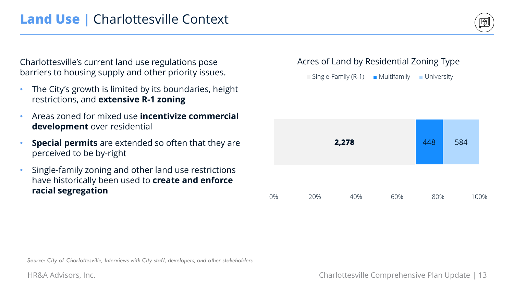Charlottesville's current land use regulations pose barriers to housing supply and other priority issues.

- The City's growth is limited by its boundaries, height restrictions, and **extensive R-1 zoning**
- Areas zoned for mixed use **incentivize commercial development** over residential
- **Special permits** are extended so often that they are perceived to be by-right
- Single-family zoning and other land use restrictions have historically been used to **create and enforce racial segregation**

### Acres of Land by Residential Zoning Type

 $\Box$  Single-Family (R-1)  $\Box$  Multifamily  $\Box$  University



*Source: City of Charlottesville, Interviews with City staff, developers, and other stakeholders*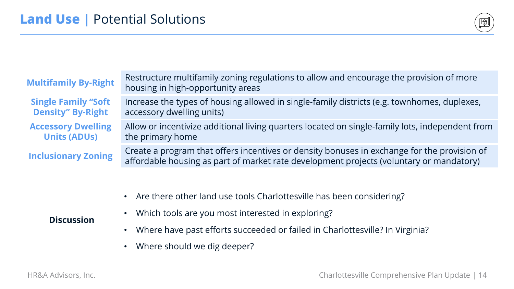

| <b>Multifamily By-Right</b>                            | Restructure multifamily zoning regulations to allow and encourage the provision of more<br>housing in high-opportunity areas                                                           |
|--------------------------------------------------------|----------------------------------------------------------------------------------------------------------------------------------------------------------------------------------------|
| <b>Single Family "Soft</b><br><b>Density" By-Right</b> | Increase the types of housing allowed in single-family districts (e.g. townhomes, duplexes,<br>accessory dwelling units)                                                               |
| <b>Accessory Dwelling</b><br><b>Units (ADUs)</b>       | Allow or incentivize additional living quarters located on single-family lots, independent from<br>the primary home                                                                    |
| <b>Inclusionary Zoning</b>                             | Create a program that offers incentives or density bonuses in exchange for the provision of<br>affordable housing as part of market rate development projects (voluntary or mandatory) |
|                                                        |                                                                                                                                                                                        |

- Are there other land use tools Charlottesville has been considering?
- Which tools are you most interested in exploring?
- Where have past efforts succeeded or failed in Charlottesville? In Virginia?
- Where should we dig deeper?

#### **Discussion**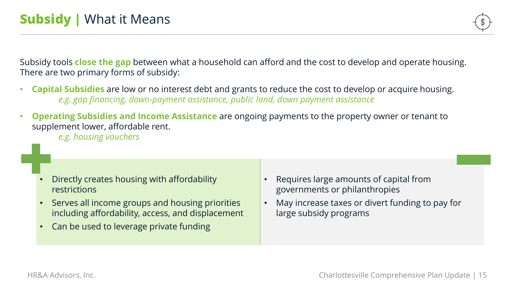Subsidy tools **close the gap** between what a household can afford and the cost to develop and operate housing. There are two primary forms of subsidy:

- **Capital Subsidies** are low or no interest debt and grants to reduce the cost to develop or acquire housing. *e.g. gap financing, down-payment assistance, public land, down payment assistance*
- **Operating Subsidies and Income Assistance** are ongoing payments to the property owner or tenant to supplement lower, affordable rent.

*e.g. housing vouchers*

- Directly creates housing with affordability restrictions
- Serves all income groups and housing priorities including affordability, access, and displacement
- Can be used to leverage private funding
- Requires large amounts of capital from governments or philanthropies
- May increase taxes or divert funding to pay for large subsidy programs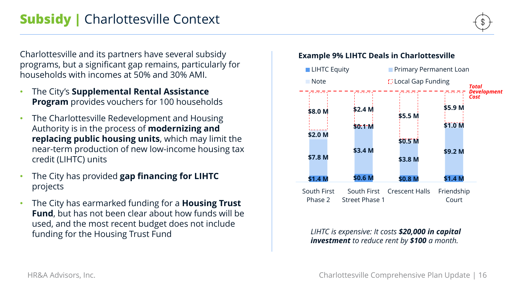Charlottesville and its partners have several subsidy programs, but a significant gap remains, particularly for households with incomes at 50% and 30% AMI.

- The City's **Supplemental Rental Assistance Program** provides vouchers for 100 households
- The Charlottesville Redevelopment and Housing Authority is in the process of **modernizing and replacing public housing units**, which may limit the near-term production of new low-income housing tax credit (LIHTC) units
- The City has provided **gap financing for LIHTC**  projects
- The City has earmarked funding for a **Housing Trust Fund**, but has not been clear about how funds will be used, and the most recent budget does not include funding for the Housing Trust Fund



*LIHTC is expensive: It costs \$20,000 in capital investment to reduce rent by \$100 a month.*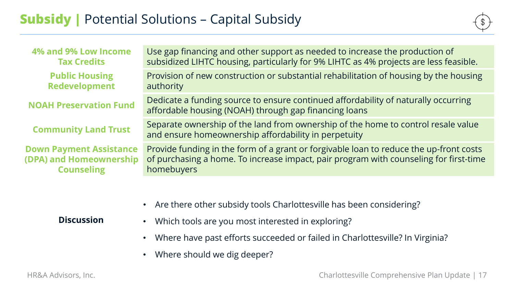| Use gap financing and other support as needed to increase the production of<br>subsidized LIHTC housing, particularly for 9% LIHTC as 4% projects are less feasible.                          |
|-----------------------------------------------------------------------------------------------------------------------------------------------------------------------------------------------|
| Provision of new construction or substantial rehabilitation of housing by the housing<br>authority                                                                                            |
| Dedicate a funding source to ensure continued affordability of naturally occurring<br>affordable housing (NOAH) through gap financing loans                                                   |
| Separate ownership of the land from ownership of the home to control resale value<br>and ensure homeownership affordability in perpetuity                                                     |
| Provide funding in the form of a grant or forgivable loan to reduce the up-front costs<br>of purchasing a home. To increase impact, pair program with counseling for first-time<br>homebuyers |
|                                                                                                                                                                                               |

• Are there other subsidy tools Charlottesville has been considering?

#### **Discussion**

- Which tools are you most interested in exploring?
	- Where have past efforts succeeded or failed in Charlottesville? In Virginia?
	- Where should we dig deeper?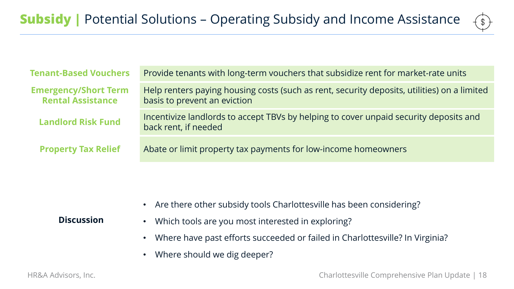

| <b>Tenant-Based Vouchers</b>                            | Provide tenants with long-term vouchers that subsidize rent for market-rate units                                           |  |
|---------------------------------------------------------|-----------------------------------------------------------------------------------------------------------------------------|--|
| <b>Emergency/Short Term</b><br><b>Rental Assistance</b> | Help renters paying housing costs (such as rent, security deposits, utilities) on a limited<br>basis to prevent an eviction |  |
| <b>Landlord Risk Fund</b>                               | Incentivize landlords to accept TBVs by helping to cover unpaid security deposits and<br>back rent, if needed               |  |
| <b>Property Tax Relief</b>                              | Abate or limit property tax payments for low-income homeowners                                                              |  |
|                                                         |                                                                                                                             |  |

• Are there other subsidy tools Charlottesville has been considering?

#### **Discussion**

- Which tools are you most interested in exploring?
	- Where have past efforts succeeded or failed in Charlottesville? In Virginia?
	- Where should we dig deeper?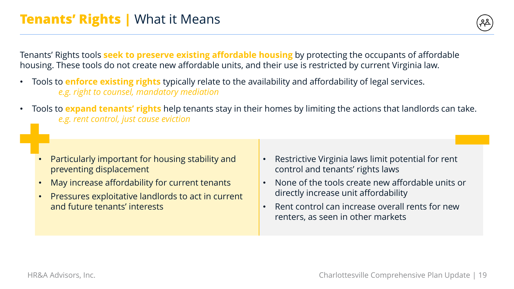

Tenants' Rights tools **seek to preserve existing affordable housing** by protecting the occupants of affordable housing. These tools do not create new affordable units, and their use is restricted by current Virginia law.

- Tools to **enforce existing rights** typically relate to the availability and affordability of legal services. *e.g. right to counsel, mandatory mediation*
- Tools to **expand tenants' rights** help tenants stay in their homes by limiting the actions that landlords can take. *e.g. rent control, just cause eviction*

- Particularly important for housing stability and preventing displacement
- May increase affordability for current tenants
- Pressures exploitative landlords to act in current and future tenants' interests
- Restrictive Virginia laws limit potential for rent control and tenants' rights laws
- None of the tools create new affordable units or directly increase unit affordability
- Rent control can increase overall rents for new renters, as seen in other markets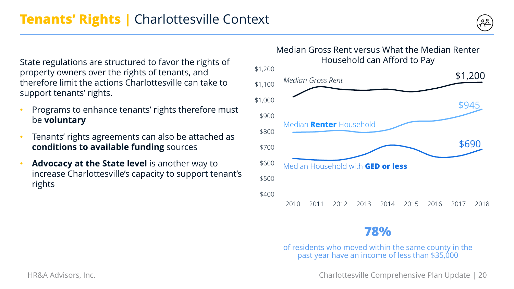State regulations are structured to favor the rights of property owners over the rights of tenants, and therefore limit the actions Charlottesville can take to support tenants' rights.

- Programs to enhance tenants' rights therefore must be **voluntary**
- Tenants' rights agreements can also be attached as **conditions to available funding** sources
- **Advocacy at the State level** is another way to increase Charlottesville's capacity to support tenant's rights



### **78%**

of residents who moved within the same county in the past year have an income of less than \$35,000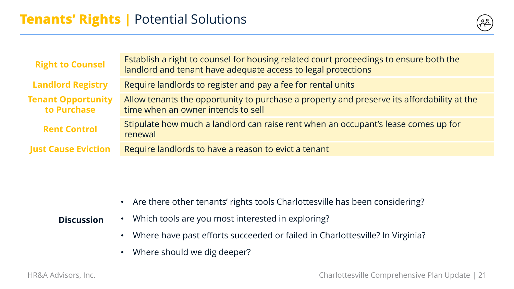

| <b>Right to Counsel</b>                  | Establish a right to counsel for housing related court proceedings to ensure both the<br>landlord and tenant have adequate access to legal protections |  |
|------------------------------------------|--------------------------------------------------------------------------------------------------------------------------------------------------------|--|
| <b>Landlord Registry</b>                 | Require landlords to register and pay a fee for rental units                                                                                           |  |
| <b>Tenant Opportunity</b><br>to Purchase | Allow tenants the opportunity to purchase a property and preserve its affordability at the<br>time when an owner intends to sell                       |  |
| <b>Rent Control</b>                      | Stipulate how much a landlord can raise rent when an occupant's lease comes up for<br>renewal                                                          |  |
| <b>Just Cause Eviction</b>               | Require landlords to have a reason to evict a tenant                                                                                                   |  |

• Are there other tenants' rights tools Charlottesville has been considering?

#### **Discussion** • Which tools are you most interested in exploring?

- Where have past efforts succeeded or failed in Charlottesville? In Virginia?
- Where should we dig deeper?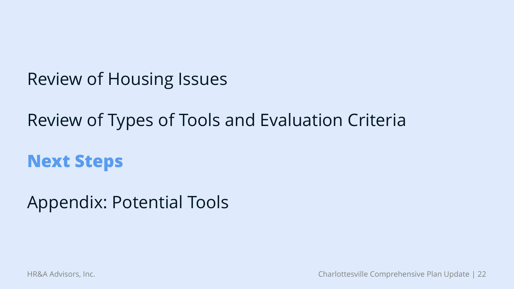Review of Housing Issues

Review of Types of Tools and Evaluation Criteria

**Next Steps**

Appendix: Potential Tools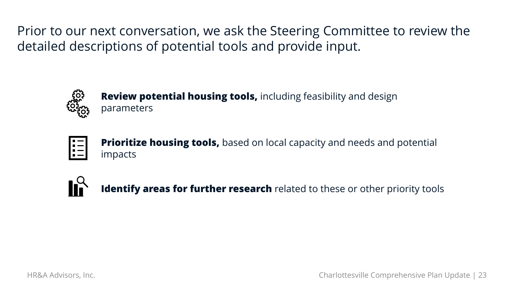Prior to our next conversation, we ask the Steering Committee to review the detailed descriptions of potential tools and provide input.



**Review potential housing tools,** including feasibility and design parameters



**Prioritize housing tools,** based on local capacity and needs and potential impacts



**Identify areas for further research** related to these or other priority tools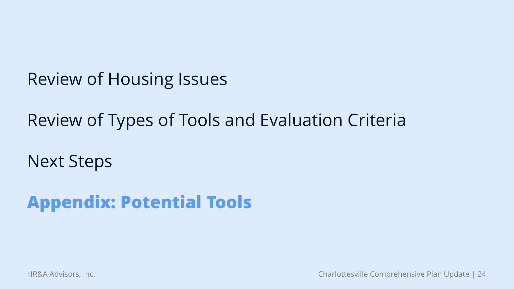Review of Housing Issues

Review of Types of Tools and Evaluation Criteria

Next Steps

**Appendix: Potential Tools**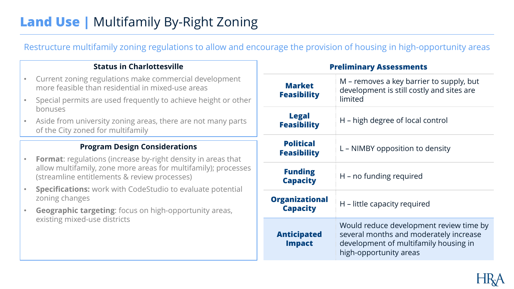### **Land Use | Multifamily By-Right Zoning**

Restructure multifamily zoning regulations to allow and encourage the provision of housing in high-opportunity areas

#### **Status in Charlottesville**

- Current zoning regulations make commercial development more feasible than residential in mixed-use areas
- Special permits are used frequently to achieve height or other bonuses
- Aside from university zoning areas, there are not many parts of the City zoned for multifamily

- **Format**: regulations (increase by-right density in areas that allow multifamily, zone more areas for multifamily); processes (streamline entitlements & review processes)
- **Specifications:** work with CodeStudio to evaluate potential zoning changes
- **Geographic targeting**: focus on high-opportunity areas, existing mixed-use districts

| <b>Preliminary Assessments</b>           |                                                                                                                                                      |
|------------------------------------------|------------------------------------------------------------------------------------------------------------------------------------------------------|
| <b>Market</b><br><b>Feasibility</b>      | M – removes a key barrier to supply, but<br>development is still costly and sites are<br>limited                                                     |
| <b>Legal</b><br><b>Feasibility</b>       | H – high degree of local control                                                                                                                     |
| <b>Political</b><br><b>Feasibility</b>   | L – NIMBY opposition to density                                                                                                                      |
| <b>Funding</b><br><b>Capacity</b>        | H – no funding required                                                                                                                              |
| <b>Organizational</b><br><b>Capacity</b> | H – little capacity required                                                                                                                         |
| <b>Anticipated</b><br><b>Impact</b>      | Would reduce development review time by<br>several months and moderately increase<br>development of multifamily housing in<br>high-opportunity areas |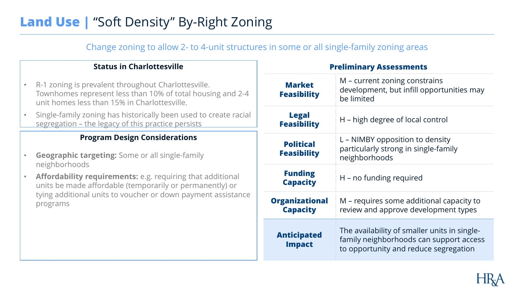### **Land Use | "Soft Density" By-Right Zoning**

Change zoning to allow 2- to 4-unit structures in some or all single-family zoning areas

#### **Status in Charlottesville**

- R-1 zoning is prevalent throughout Charlottesville. Townhomes represent less than 10% of total housing and 2-4 unit homes less than 15% in Charlottesville.
- Single-family zoning has historically been used to create racial segregation – the legacy of this practice persists

- **Geographic targeting:** Some or all single-family neighborhoods
- **Affordability requirements:** e.g. requiring that additional units be made affordable (temporarily or permanently) or tying additional units to voucher or down payment assistance programs

| <b>Preliminary Assessments</b>           |                                                                                                                                  |
|------------------------------------------|----------------------------------------------------------------------------------------------------------------------------------|
| <b>Market</b><br><b>Feasibility</b>      | M – current zoning constrains<br>development, but infill opportunities may<br>be limited                                         |
| <b>Legal</b><br><b>Feasibility</b>       | H - high degree of local control                                                                                                 |
| <b>Political</b><br><b>Feasibility</b>   | L – NIMBY opposition to density<br>particularly strong in single-family<br>neighborhoods                                         |
| <b>Funding</b><br><b>Capacity</b>        | H – no funding required                                                                                                          |
| <b>Organizational</b><br><b>Capacity</b> | M – requires some additional capacity to<br>review and approve development types                                                 |
| <b>Anticipated</b><br><b>Impact</b>      | The availability of smaller units in single-<br>family neighborhoods can support access<br>to opportunity and reduce segregation |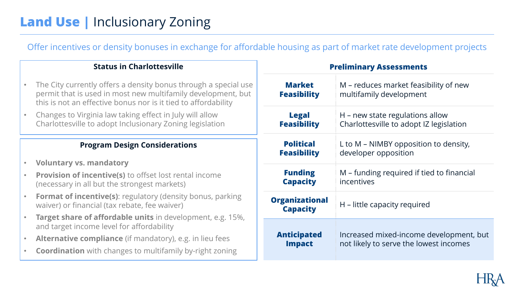## **Land Use | Inclusionary Zoning**

Offer incentives or density bonuses in exchange for affordable housing as part of market rate development projects

#### **Status in Charlottesville**

- The City currently offers a density bonus through a special use permit that is used in most new multifamily development, but this is not an effective bonus nor is it tied to affordability
- Changes to Virginia law taking effect in July will allow Charlottesville to adopt Inclusionary Zoning legislation

- **Voluntary vs. mandatory**
- **Provision of incentive(s)** to offset lost rental income (necessary in all but the strongest markets)
- **Format of incentive(s)**: regulatory (density bonus, parking waiver) or financial (tax rebate, fee waiver)
- **Target share of affordable units** in development, e.g. 15%, and target income level for affordability
- **Alternative compliance** (if mandatory), e.g. in lieu fees
- **Coordination** with changes to multifamily by-right zoning

| <b>Preliminary Assessments</b>           |                                           |  |
|------------------------------------------|-------------------------------------------|--|
| <b>Market</b>                            | M – reduces market feasibility of new     |  |
| <b>Feasibility</b>                       | multifamily development                   |  |
| <b>Legal</b>                             | H – new state regulations allow           |  |
| <b>Feasibility</b>                       | Charlottesville to adopt IZ legislation   |  |
| <b>Political</b>                         | L to M – NIMBY opposition to density,     |  |
| <b>Feasibility</b>                       | developer opposition                      |  |
| <b>Funding</b>                           | M – funding required if tied to financial |  |
| <b>Capacity</b>                          | incentives                                |  |
| <b>Organizational</b><br><b>Capacity</b> | H – little capacity required              |  |
| <b>Anticipated</b>                       | Increased mixed-income development, but   |  |
| <b>Impact</b>                            | not likely to serve the lowest incomes    |  |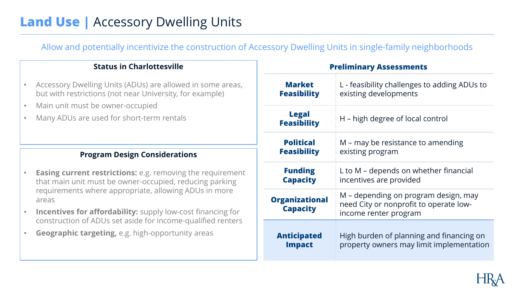### **Land Use | Accessory Dwelling Units**

Allow and potentially incentivize the construction of Accessory Dwelling Units in single-family neighborhoods

#### **Status in Charlottesville**

- Accessory Dwelling Units (ADUs) are allowed in some areas, but with restrictions (not near University, for example)
- Main unit must be owner-occupied
- Many ADUs are used for short-term rentals

- **Easing current restrictions:** e.g. removing the requirement that main unit must be owner-occupied, reducing parking requirements where appropriate, allowing ADUs in more areas
- **Incentives for affordability:** supply low-cost financing for construction of ADUs set aside for income-qualified renters
- **Geographic targeting,** e.g. high-opportunity areas

| <b>Preliminary Assessments</b>           |                                                                                                         |
|------------------------------------------|---------------------------------------------------------------------------------------------------------|
| <b>Market</b>                            | L - feasibility challenges to adding ADUs to                                                            |
| <b>Feasibility</b>                       | existing developments                                                                                   |
| <b>Legal</b><br><b>Feasibility</b>       | H – high degree of local control                                                                        |
| <b>Political</b>                         | M – may be resistance to amending                                                                       |
| <b>Feasibility</b>                       | existing program                                                                                        |
| <b>Funding</b>                           | L to M – depends on whether financial                                                                   |
| <b>Capacity</b>                          | incentives are provided                                                                                 |
| <b>Organizational</b><br><b>Capacity</b> | M – depending on program design, may<br>need City or nonprofit to operate low-<br>income renter program |
| <b>Anticipated</b>                       | High burden of planning and financing on                                                                |
| <b>Impact</b>                            | property owners may limit implementation                                                                |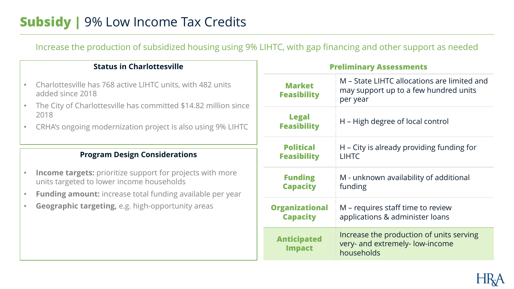### **Subsidy |** 9% Low Income Tax Credits

Increase the production of subsidized housing using 9% LIHTC, with gap financing and other support as needed

#### **Status in Charlottesville**

- Charlottesville has 768 active LIHTC units, with 482 units added since 2018
- The City of Charlottesville has committed \$14.82 million since 2018
- CRHA's ongoing modernization project is also using 9% LIHTC

- **Income targets:** prioritize support for projects with more units targeted to lower income households
- **Funding amount:** increase total funding available per year
- **Geographic targeting,** e.g. high-opportunity areas

| <b>Preliminary Assessments</b>           |                                                                                                  |  |
|------------------------------------------|--------------------------------------------------------------------------------------------------|--|
| <b>Market</b><br><b>Feasibility</b>      | M – State LIHTC allocations are limited and<br>may support up to a few hundred units<br>per year |  |
| <b>Legal</b><br><b>Feasibility</b>       | H – High degree of local control                                                                 |  |
| <b>Political</b><br><b>Feasibility</b>   | H – City is already providing funding for<br><b>LIHTC</b>                                        |  |
| <b>Funding</b><br><b>Capacity</b>        | M - unknown availability of additional<br>funding                                                |  |
| <b>Organizational</b><br><b>Capacity</b> | M – requires staff time to review<br>applications & administer loans                             |  |
| <b>Anticipated</b><br><b>Impact</b>      | Increase the production of units serving<br>very- and extremely- low-income<br>households        |  |

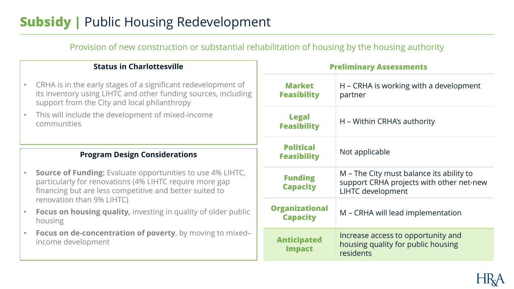### **Subsidy |** Public Housing Redevelopment

Provision of new construction or substantial rehabilitation of housing by the housing authority

#### **Status in Charlottesville**

- CRHA is in the early stages of a significant redevelopment of its inventory using LIHTC and other funding sources, including support from the City and local philanthropy
- This will include the development of mixed-income communities

- **Source of Funding:** Evaluate opportunities to use 4% LIHTC, particularly for renovations (4% LIHTC require more gap financing but are less competitive and better suited to renovation than 9% LIHTC)
- **Focus on housing quality,** investing in quality of older public housing
- **Focus on de-concentration of poverty**, by moving to mixed– income development

| <b>Preliminary Assessments</b>           |                                                                                                                  |
|------------------------------------------|------------------------------------------------------------------------------------------------------------------|
| <b>Market</b><br><b>Feasibility</b>      | H – CRHA is working with a development<br>partner                                                                |
| <b>Legal</b><br><b>Feasibility</b>       | H – Within CRHA's authority                                                                                      |
| <b>Political</b><br><b>Feasibility</b>   | Not applicable                                                                                                   |
| <b>Funding</b><br><b>Capacity</b>        | M – The City must balance its ability to<br>support CRHA projects with other net-new<br><b>LIHTC</b> development |
| <b>Organizational</b><br><b>Capacity</b> | M – CRHA will lead implementation                                                                                |
| <b>Anticipated</b><br><b>Impact</b>      | Increase access to opportunity and<br>housing quality for public housing<br>residents                            |

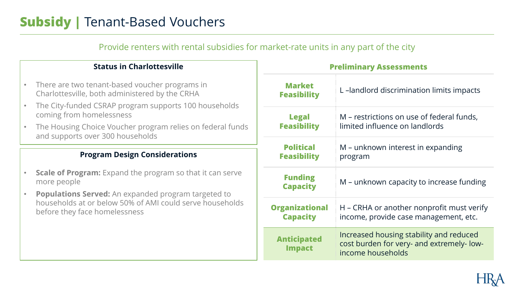### **Subsidy |** Tenant-Based Vouchers

|                                  | Provide renters with rental subsidies for market-rate units in any part of the city              |                                          |                                                                                                           |  |  |
|----------------------------------|--------------------------------------------------------------------------------------------------|------------------------------------------|-----------------------------------------------------------------------------------------------------------|--|--|
| <b>Status in Charlottesville</b> |                                                                                                  | <b>Preliminary Assessments</b>           |                                                                                                           |  |  |
|                                  | There are two tenant-based voucher programs in<br>Charlottesville, both administered by the CRHA | <b>Market</b><br><b>Feasibility</b>      | L-landlord discrimination limits impacts                                                                  |  |  |
|                                  | The City-funded CSRAP program supports 100 households<br>coming from homelessness                | <b>Legal</b><br><b>Feasibility</b>       | M – restrictions on use of federal funds,<br>limited influence on landlords                               |  |  |
|                                  | The Housing Choice Voucher program relies on federal funds<br>and supports over 300 households   |                                          |                                                                                                           |  |  |
|                                  |                                                                                                  | <b>Political</b>                         | M – unknown interest in expanding                                                                         |  |  |
|                                  | <b>Program Design Considerations</b>                                                             | <b>Feasibility</b>                       | program                                                                                                   |  |  |
|                                  | <b>Scale of Program:</b> Expand the program so that it can serve<br>more people                  | <b>Funding</b><br><b>Capacity</b>        | M – unknown capacity to increase funding                                                                  |  |  |
|                                  | <b>Populations Served:</b> An expanded program targeted to                                       |                                          |                                                                                                           |  |  |
|                                  | households at or below 50% of AMI could serve households<br>before they face homelessness        | <b>Organizational</b><br><b>Capacity</b> | H – CRHA or another nonprofit must verify<br>income, provide case management, etc.                        |  |  |
|                                  |                                                                                                  | <b>Anticipated</b><br><b>Impact</b>      | Increased housing stability and reduced<br>cost burden for very- and extremely- low-<br>income households |  |  |

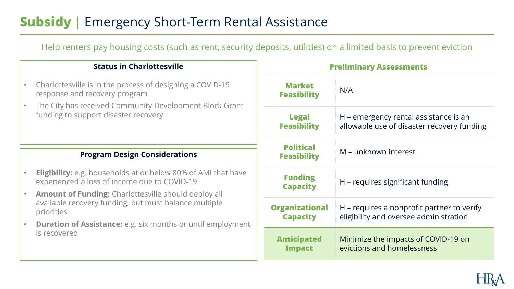### **Subsidy |** Emergency Short-Term Rental Assistance

Help renters pay housing costs (such as rent, security deposits, utilities) on a limited basis to prevent eviction

#### **Status in Charlottesville**

- Charlottesville is in the process of designing a COVID-19 response and recovery program
- The City has received Community Development Block Grant funding to support disaster recovery

- **Eligibility:** e.g. households at or below 80% of AMI that have experienced a loss of income due to COVID-19
- **Amount of Funding:** Charlottesville should deploy all available recovery funding, but must balance multiple priorities
- **Duration of Assistance:** e.g. six months or until employment is recovered

| <b>Preliminary Assessments</b>                                                                                            |                                                                                      |  |
|---------------------------------------------------------------------------------------------------------------------------|--------------------------------------------------------------------------------------|--|
| <b>Market</b><br><b>Feasibility</b>                                                                                       | N/A                                                                                  |  |
| H – emergency rental assistance is an<br><b>Legal</b><br><b>Feasibility</b><br>allowable use of disaster recovery funding |                                                                                      |  |
| <b>Political</b><br><b>Feasibility</b>                                                                                    | M – unknown interest                                                                 |  |
| <b>Funding</b><br><b>Capacity</b>                                                                                         | H – requires significant funding                                                     |  |
| <b>Organizational</b><br><b>Capacity</b>                                                                                  | H – requires a nonprofit partner to verify<br>eligibility and oversee administration |  |
| <b>Anticipated</b><br><b>Impact</b>                                                                                       | Minimize the impacts of COVID-19 on<br>evictions and homelessness                    |  |

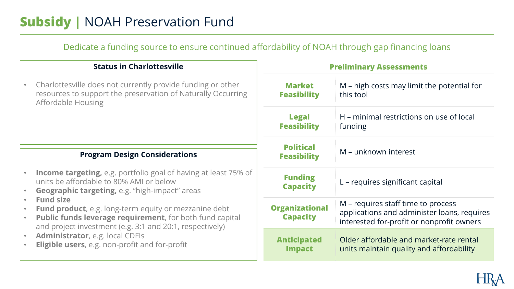### **Subsidy |** NOAH Preservation Fund

Dedicate a funding source to ensure continued affordability of NOAH through gap financing loans

#### **Status in Charlottesville**

• Charlottesville does not currently provide funding or other resources to support the preservation of Naturally Occurring Affordable Housing

- **Income targeting,** e.g. portfolio goal of having at least 75% of units be affordable to 80% AMI or below
- **Geographic targeting,** e.g. "high-impact" areas
- **Fund size**
- **Fund product**, e.g. long-term equity or mezzanine debt
- **Public funds leverage requirement**, for both fund capital and project investment (e.g. 3:1 and 20:1, respectively)
- **Administrator**, e.g. local CDFIs
- **Eligible users**, e.g. non-profit and for-profit

| <b>Preliminary Assessments</b>                                                                 |                                                                                                                                |  |
|------------------------------------------------------------------------------------------------|--------------------------------------------------------------------------------------------------------------------------------|--|
| <b>Market</b><br>M – high costs may limit the potential for<br>this tool<br><b>Feasibility</b> |                                                                                                                                |  |
| H – minimal restrictions on use of local<br><b>Legal</b><br><b>Feasibility</b><br>funding      |                                                                                                                                |  |
| <b>Political</b><br>M – unknown interest<br><b>Feasibility</b>                                 |                                                                                                                                |  |
| <b>Funding</b><br><b>Capacity</b>                                                              | L – requires significant capital                                                                                               |  |
| <b>Organizational</b><br><b>Capacity</b>                                                       | M – requires staff time to process<br>applications and administer loans, requires<br>interested for-profit or nonprofit owners |  |
| <b>Anticipated</b><br><b>Impact</b>                                                            | Older affordable and market-rate rental<br>units maintain quality and affordability                                            |  |

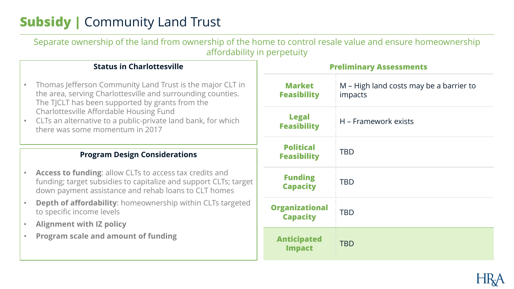## **Subsidy |** Community Land Trust

| Separate ownership of the land from ownership of the home to control resale value and ensure homeownership<br>affordability in perpetuity                                                  |  |                                          |                                                           |  |
|--------------------------------------------------------------------------------------------------------------------------------------------------------------------------------------------|--|------------------------------------------|-----------------------------------------------------------|--|
| <b>Status in Charlottesville</b>                                                                                                                                                           |  | <b>Preliminary Assessments</b>           |                                                           |  |
| Thomas Jefferson Community Land Trust is the major CLT in<br>the area, serving Charlottesville and surrounding counties.<br>The TJCLT has been supported by grants from the                |  | <b>Market</b><br><b>Feasibility</b>      | M - High land costs may be a barrier to<br><i>impacts</i> |  |
| Charlottesville Affordable Housing Fund<br>CLTs an alternative to a public-private land bank, for which<br>there was some momentum in 2017                                                 |  | <b>Legal</b><br><b>Feasibility</b>       | H - Framework exists                                      |  |
|                                                                                                                                                                                            |  | <b>Political</b>                         |                                                           |  |
| <b>Program Design Considerations</b>                                                                                                                                                       |  | <b>Feasibility</b>                       | <b>TBD</b>                                                |  |
| <b>Access to funding:</b> allow CLTs to access tax credits and<br>funding; target subsidies to capitalize and support CLTs; target<br>down payment assistance and rehab loans to CLT homes |  | <b>Funding</b><br><b>Capacity</b>        | <b>TBD</b>                                                |  |
| <b>Depth of affordability:</b> homeownership within CLTs targeted<br>to specific income levels                                                                                             |  | <b>Organizational</b><br><b>Capacity</b> | <b>TBD</b>                                                |  |
| <b>Alignment with IZ policy</b>                                                                                                                                                            |  |                                          |                                                           |  |
| <b>Program scale and amount of funding</b>                                                                                                                                                 |  | <b>Anticipated</b><br><b>Impact</b>      | <b>TBD</b>                                                |  |

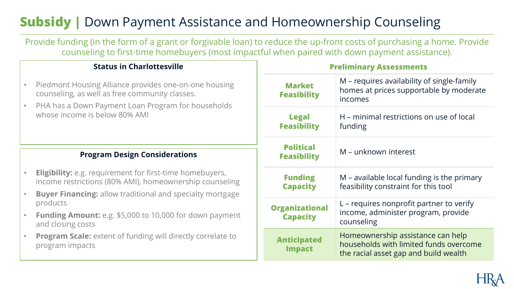## **Subsidy |** Down Payment Assistance and Homeownership Counseling

Provide funding (in the form of a grant or forgivable loan) to reduce the up-front costs of purchasing a home. Provide counseling to first-time homebuyers (most impactful when paired with down payment assistance).

#### **Status in Charlottesville**

- Piedmont Housing Alliance provides one-on-one housing counseling, as well as free community classes.
- PHA has a Down Payment Loan Program for households whose income is below 80% AMI

- **Eligibility:** e.g. requirement for first-time homebuyers, income restrictions (80% AMI), homeownership counseling
- **Buyer Financing:** allow traditional and specialty mortgage products
- **Funding Amount:** e.g. \$5,000 to 10,000 for down payment and closing costs
- **Program Scale:** extent of funding will directly correlate to program impacts

| <b>Preliminary Assessments</b>                                                            |                                                                                                                      |  |
|-------------------------------------------------------------------------------------------|----------------------------------------------------------------------------------------------------------------------|--|
| <b>Market</b><br><b>Feasibility</b>                                                       | M – requires availability of single-family<br>homes at prices supportable by moderate<br>incomes                     |  |
| <b>Legal</b><br>H – minimal restrictions on use of local<br><b>Feasibility</b><br>funding |                                                                                                                      |  |
| <b>Political</b><br><b>Feasibility</b>                                                    | M – unknown interest                                                                                                 |  |
| <b>Funding</b><br><b>Capacity</b>                                                         | M – available local funding is the primary<br>feasibility constraint for this tool                                   |  |
| <b>Organizational</b><br><b>Capacity</b>                                                  | L – requires nonprofit partner to verify<br>income, administer program, provide<br>counseling                        |  |
| <b>Anticipated</b><br><b>Impact</b>                                                       | Homeownership assistance can help<br>households with limited funds overcome<br>the racial asset gap and build wealth |  |

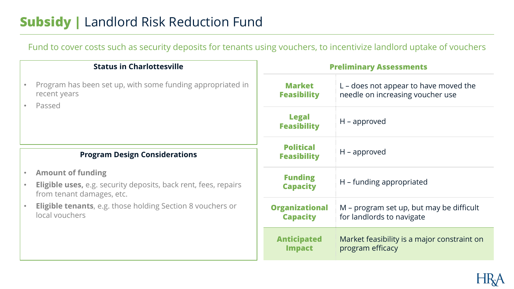### **Subsidy |** Landlord Risk Reduction Fund

Fund to cover costs such as security deposits for tenants using vouchers, to incentivize landlord uptake of vouchers

| <b>Status in Charlottesville</b> |                                                                                                                                                           | <b>Preliminary Assessments</b>           |                                                                             |
|----------------------------------|-----------------------------------------------------------------------------------------------------------------------------------------------------------|------------------------------------------|-----------------------------------------------------------------------------|
|                                  | Program has been set up, with some funding appropriated in<br>recent years                                                                                | <b>Market</b><br><b>Feasibility</b>      | $L$ – does not appear to have moved the<br>needle on increasing voucher use |
|                                  | Passed<br>$\bullet$                                                                                                                                       | <b>Legal</b><br><b>Feasibility</b>       | $H$ – approved                                                              |
|                                  | <b>Program Design Considerations</b>                                                                                                                      | <b>Political</b><br><b>Feasibility</b>   | $H$ – approved                                                              |
|                                  | <b>Amount of funding</b><br>$\bullet$<br><b>Eligible uses, e.g. security deposits, back rent, fees, repairs</b><br>$\bullet$<br>from tenant damages, etc. | <b>Funding</b><br><b>Capacity</b>        | H – funding appropriated                                                    |
|                                  | <b>Eligible tenants</b> , e.g. those holding Section 8 vouchers or<br>local vouchers                                                                      | <b>Organizational</b><br><b>Capacity</b> | M – program set up, but may be difficult<br>for landlords to navigate       |
|                                  |                                                                                                                                                           | <b>Anticipated</b><br><b>Impact</b>      | Market feasibility is a major constraint or<br>program efficacy             |

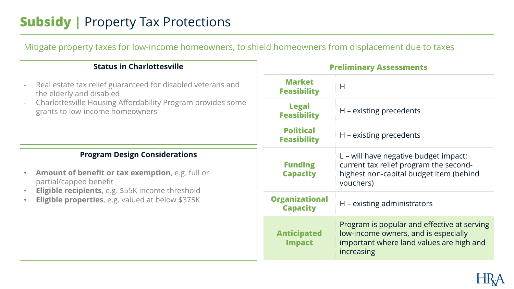## **Subsidy |** Property Tax Protections

Mitigate property taxes for low-income homeowners, to shield homeowners from displacement due to taxes

| <b>Status in Charlottesville</b>                                                                                                                                                                                                          | <b>Preliminary Assessments</b>           |                                                                                                                                               |
|-------------------------------------------------------------------------------------------------------------------------------------------------------------------------------------------------------------------------------------------|------------------------------------------|-----------------------------------------------------------------------------------------------------------------------------------------------|
| Real estate tax relief guaranteed for disabled veterans and<br>the elderly and disabled                                                                                                                                                   | <b>Market</b><br><b>Feasibility</b>      | H                                                                                                                                             |
| Charlottesville Housing Affordability Program provides some<br>grants to low-income homeowners                                                                                                                                            | <b>Legal</b><br><b>Feasibility</b>       | H - existing precedents                                                                                                                       |
|                                                                                                                                                                                                                                           | <b>Political</b><br><b>Feasibility</b>   | H - existing precedents                                                                                                                       |
| <b>Program Design Considerations</b><br><b>Amount of benefit or tax exemption, e.g. full or</b><br>partial/capped benefit<br><b>Eligible recipients</b> , e.g. \$55K income threshold<br>Eligible properties, e.g. valued at below \$375K | <b>Funding</b><br><b>Capacity</b>        | L – will have negative budget impact;<br>current tax relief program the second-<br>highest non-capital budget item (behind<br>vouchers)       |
|                                                                                                                                                                                                                                           | <b>Organizational</b><br><b>Capacity</b> | H – existing administrators                                                                                                                   |
|                                                                                                                                                                                                                                           | <b>Anticipated</b><br><b>Impact</b>      | Program is popular and effective at serving<br>low-income owners, and is especially<br>important where land values are high and<br>increasing |

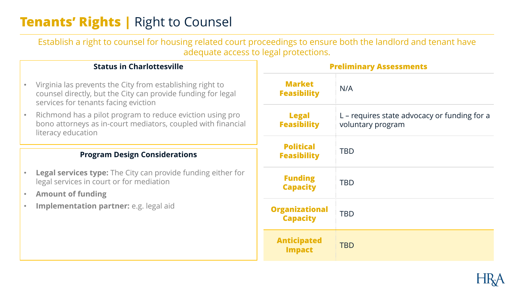### **Tenants' Rights | Right to Counsel**

Establish a right to counsel for housing related court proceedings to ensure both the landlord and tenant have adequate access to legal protections.

#### **Status in Charlottesville**

- Virginia las prevents the City from establishing right to counsel directly, but the City can provide funding for legal services for tenants facing eviction
- Richmond has a pilot program to reduce eviction using pro bono attorneys as in-court mediators, coupled with financial literacy education

- **Legal services type:** The City can provide funding either for legal services in court or for mediation
- **Amount of funding**
- **Implementation partner:** e.g. legal aid

| <b>Preliminary Assessments</b>           |                                                                   |  |  |
|------------------------------------------|-------------------------------------------------------------------|--|--|
| <b>Market</b><br><b>Feasibility</b>      | N/A                                                               |  |  |
| <b>Legal</b><br><b>Feasibility</b>       | L – requires state advocacy or funding for a<br>voluntary program |  |  |
| <b>Political</b><br><b>Feasibility</b>   | <b>TBD</b>                                                        |  |  |
| <b>Funding</b><br><b>Capacity</b>        | <b>TBD</b>                                                        |  |  |
| <b>Organizational</b><br><b>Capacity</b> | <b>TBD</b>                                                        |  |  |
| <b>Anticipated</b><br><b>Impact</b>      | <b>TBD</b>                                                        |  |  |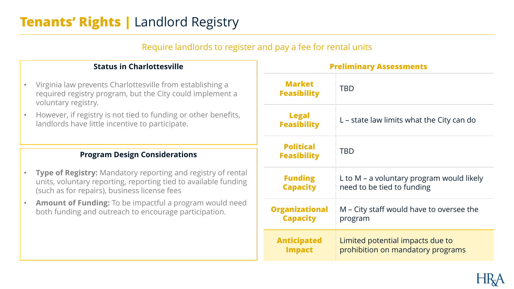### **Tenants' Rights | Landlord Registry**

#### Require landlords to register and pay a fee for rental units

#### **Status in Charlottesville**

- Virginia law prevents Charlottesville from establishing a required registry program, but the City could implement a voluntary registry.
- However, if registry is not tied to funding or other benefits, landlords have little incentive to participate.

- **Type of Registry:** Mandatory reporting and registry of rental units, voluntary reporting, reporting tied to available funding (such as for repairs), business license fees
- **Amount of Funding:** To be impactful a program would need both funding and outreach to encourage participation.

| <b>Preliminary Assessments</b>                                                                                                          |                                          |                |
|-----------------------------------------------------------------------------------------------------------------------------------------|------------------------------------------|----------------|
| <b>Market</b><br><b>Feasibility</b>                                                                                                     | <b>TBD</b>                               |                |
| <b>Legal</b><br>L – state law limits what the City can do<br><b>Feasibility</b><br><b>Political</b><br><b>TBD</b><br><b>Feasibility</b> |                                          |                |
|                                                                                                                                         |                                          | <b>Funding</b> |
| <b>Capacity</b>                                                                                                                         | need to be tied to funding               |                |
| <b>Organizational</b>                                                                                                                   | M – City staff would have to oversee the |                |
| <b>Capacity</b>                                                                                                                         | program                                  |                |
| <b>Anticipated</b>                                                                                                                      | Limited potential impacts due to         |                |
| <b>Impact</b>                                                                                                                           | prohibition on mandatory programs        |                |

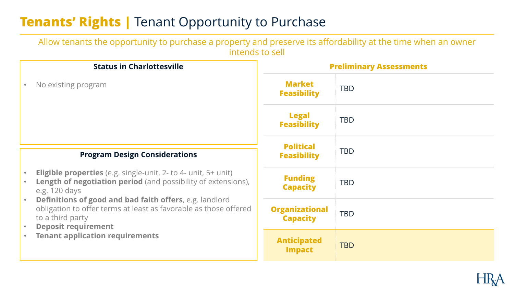### **Tenants' Rights | Tenant Opportunity to Purchase**

Allow tenants the opportunity to purchase a property and preserve its affordability at the time when an owner intends to sell

| <b>Status in Charlottesville</b>                                                                                                                                                                                               | <b>Preliminary Assessments</b>           |            |
|--------------------------------------------------------------------------------------------------------------------------------------------------------------------------------------------------------------------------------|------------------------------------------|------------|
| No existing program                                                                                                                                                                                                            | <b>Market</b><br><b>Feasibility</b>      | <b>TBD</b> |
|                                                                                                                                                                                                                                | <b>Legal</b><br><b>Feasibility</b>       | <b>TBD</b> |
| <b>Program Design Considerations</b>                                                                                                                                                                                           | <b>Political</b><br><b>Feasibility</b>   | <b>TBD</b> |
| <b>Eligible properties</b> (e.g. single-unit, 2- to 4- unit, 5+ unit)<br><b>Length of negotiation period</b> (and possibility of extensions),<br>e.g. 120 days                                                                 | <b>Funding</b><br><b>Capacity</b>        | <b>TBD</b> |
| <b>Definitions of good and bad faith offers, e.g. landlord</b><br>obligation to offer terms at least as favorable as those offered<br>to a third party<br><b>Deposit requirement</b><br><b>Tenant application requirements</b> | <b>Organizational</b><br><b>Capacity</b> | <b>TBD</b> |
|                                                                                                                                                                                                                                | <b>Anticipated</b><br><b>Impact</b>      | <b>TBD</b> |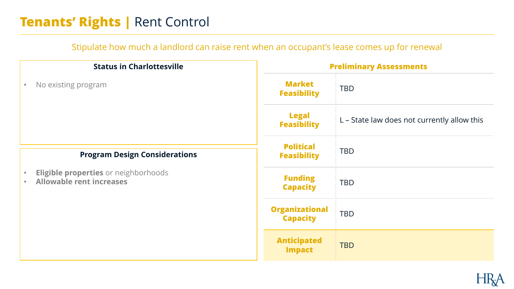### **Tenants' Rights | Rent Control**

#### Stipulate how much a landlord can raise rent when an occupant's lease comes up for renewal

| <b>Status in Charlottesville</b>                                        |                                          | <b>Preliminary Assessments</b>              |  |
|-------------------------------------------------------------------------|------------------------------------------|---------------------------------------------|--|
| No existing program<br>$\bullet$                                        | <b>Market</b><br><b>Feasibility</b>      | <b>TBD</b>                                  |  |
|                                                                         | <b>Legal</b><br><b>Feasibility</b>       | L - State law does not currently allow this |  |
| <b>Program Design Considerations</b>                                    | <b>Political</b><br><b>Feasibility</b>   | <b>TBD</b>                                  |  |
| Eligible properties or neighborhoods<br><b>Allowable rent increases</b> | <b>Funding</b><br><b>Capacity</b>        | <b>TBD</b>                                  |  |
|                                                                         | <b>Organizational</b><br><b>Capacity</b> | <b>TBD</b>                                  |  |
|                                                                         | <b>Anticipated</b><br><b>Impact</b>      | <b>TBD</b>                                  |  |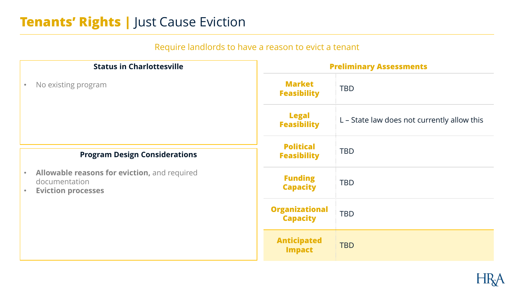### **Tenants' Rights | Just Cause Eviction**

### Require landlords to have a reason to evict a tenant

| <b>Status in Charlottesville</b>                                                                                     |                                          | <b>Preliminary Assessments</b>              |  |
|----------------------------------------------------------------------------------------------------------------------|------------------------------------------|---------------------------------------------|--|
| No existing program<br>$\bullet$                                                                                     | <b>Market</b><br><b>Feasibility</b>      | <b>TBD</b>                                  |  |
|                                                                                                                      | <b>Legal</b><br><b>Feasibility</b>       | L - State law does not currently allow this |  |
| <b>Program Design Considerations</b>                                                                                 | <b>Political</b><br><b>Feasibility</b>   | <b>TBD</b>                                  |  |
| Allowable reasons for eviction, and required<br>$\bullet$<br>documentation<br><b>Eviction processes</b><br>$\bullet$ | <b>Funding</b><br><b>Capacity</b>        | <b>TBD</b>                                  |  |
|                                                                                                                      | <b>Organizational</b><br><b>Capacity</b> | <b>TBD</b>                                  |  |
|                                                                                                                      | <b>Anticipated</b><br><b>Impact</b>      | <b>TBD</b>                                  |  |